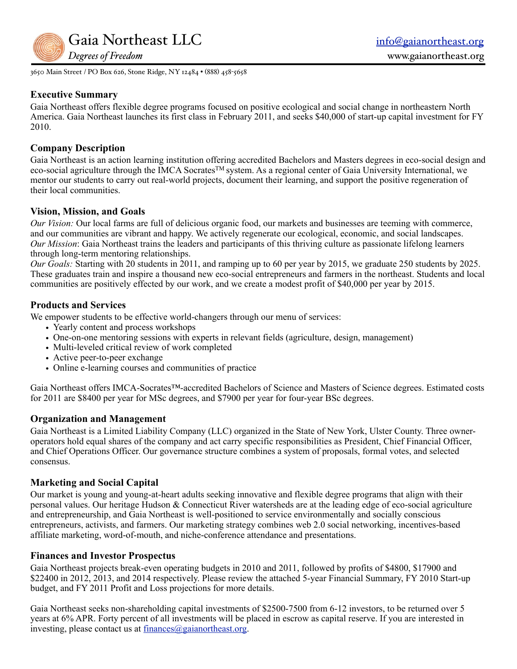

3650 Main Street / PO Box 626, Stone Ridge, NY 12484 • (888) 458-5658

### **Executive Summary**

Gaia Northeast offers flexible degree programs focused on positive ecological and social change in northeastern North America. Gaia Northeast launches its first class in February 2011, and seeks \$40,000 of start-up capital investment for FY 2010.

### **Company Description**

Gaia Northeast is an action learning institution offering accredited Bachelors and Masters degrees in eco-social design and eco-social agriculture through the IMCA Socrates<sup>™</sup> system. As a regional center of Gaia University International, we mentor our students to carry out real-world projects, document their learning, and support the positive regeneration of their local communities.

### **Vision, Mission, and Goals**

*Our Vision:* Our local farms are full of delicious organic food, our markets and businesses are teeming with commerce, and our communities are vibrant and happy. We actively regenerate our ecological, economic, and social landscapes. *Our Mission*: Gaia Northeast trains the leaders and participants of this thriving culture as passionate lifelong learners through long-term mentoring relationships.

*Our Goals:* Starting with 20 students in 2011, and ramping up to 60 per year by 2015, we graduate 250 students by 2025. These graduates train and inspire a thousand new eco-social entrepreneurs and farmers in the northeast. Students and local communities are positively effected by our work, and we create a modest profit of \$40,000 per year by 2015.

### **Products and Services**

We empower students to be effective world-changers through our menu of services:

- Yearly content and process workshops
- One-on-one mentoring sessions with experts in relevant fields (agriculture, design, management)
- Multi-leveled critical review of work completed
- Active peer-to-peer exchange
- Online e-learning courses and communities of practice

Gaia Northeast offers IMCA-Socrates™-accredited Bachelors of Science and Masters of Science degrees. Estimated costs for 2011 are \$8400 per year for MSc degrees, and \$7900 per year for four-year BSc degrees.

### **Organization and Management**

Gaia Northeast is a Limited Liability Company (LLC) organized in the State of New York, Ulster County. Three owneroperators hold equal shares of the company and act carry specific responsibilities as President, Chief Financial Officer, and Chief Operations Officer. Our governance structure combines a system of proposals, formal votes, and selected consensus.

### **Marketing and Social Capital**

Our market is young and young-at-heart adults seeking innovative and flexible degree programs that align with their personal values. Our heritage Hudson & Connecticut River watersheds are at the leading edge of eco-social agriculture and entrepreneurship, and Gaia Northeast is well-positioned to service environmentally and socially conscious entrepreneurs, activists, and farmers. Our marketing strategy combines web 2.0 social networking, incentives-based affiliate marketing, word-of-mouth, and niche-conference attendance and presentations.

### **Finances and Investor Prospectus**

Gaia Northeast projects break-even operating budgets in 2010 and 2011, followed by profits of \$4800, \$17900 and \$22400 in 2012, 2013, and 2014 respectively. Please review the attached 5-year Financial Summary, FY 2010 Start-up budget, and FY 2011 Profit and Loss projections for more details.

Gaia Northeast seeks non-shareholding capital investments of \$2500-7500 from 6-12 investors, to be returned over 5 years at 6% APR. Forty percent of all investments will be placed in escrow as capital reserve. If you are interested in investing, please contact us at finances $\omega$ gaianortheast.org.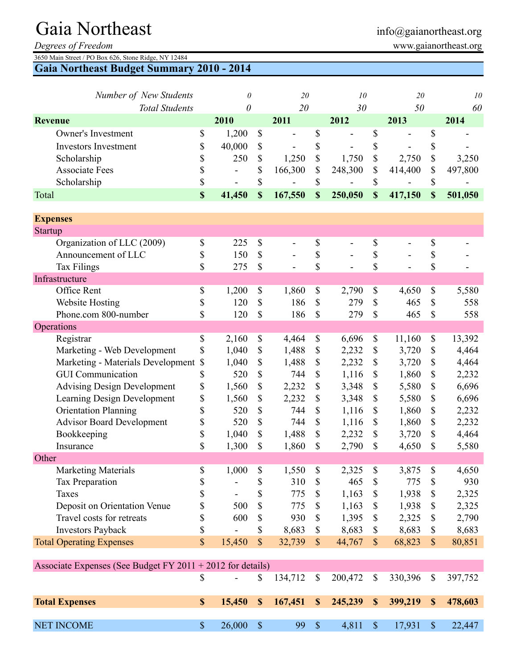# Gaia Northeast info@gaianortheast.org

*Degrees of Freedom* www.gaianortheast.org

3650 Main Street / PO Box 626, Stone Ridge, NY 12484

**Gaia Northeast Budget Summary 2010 - 2014**

| Number of New Students             |                           | 0              |                           | 20             |               | 10                       |                           | 20                           |             | 10      |
|------------------------------------|---------------------------|----------------|---------------------------|----------------|---------------|--------------------------|---------------------------|------------------------------|-------------|---------|
| <b>Total Students</b>              |                           | 0              |                           | 20             |               | 30                       |                           | 50                           |             | 60      |
| <b>Revenue</b>                     |                           | 2010           |                           | 2011           |               | 2012                     |                           | 2013                         |             | 2014    |
| <b>Owner's Investment</b>          | \$                        | 1,200          | \$                        | $\overline{a}$ | \$            |                          | \$                        | Ē,                           | \$          |         |
| <b>Investors Investment</b>        | \$                        | 40,000         | \$                        |                | \$            |                          | \$                        |                              | \$          |         |
| Scholarship                        | \$                        | 250            | \$                        | 1,250          | \$            | 1,750                    | \$                        | 2,750                        | \$          | 3,250   |
| <b>Associate Fees</b>              | \$                        | $\blacksquare$ | \$                        | 166,300        | \$            | 248,300                  | \$                        | 414,400                      | \$          | 497,800 |
| Scholarship                        | \$                        |                | \$                        |                | \$            |                          | \$                        |                              | \$          |         |
| Total                              | \$                        | 41,450         | \$                        | 167,550        | \$            | 250,050                  | \$                        | 417,150                      | $\mathbf S$ | 501,050 |
|                                    |                           |                |                           |                |               |                          |                           |                              |             |         |
| <b>Expenses</b>                    |                           |                |                           |                |               |                          |                           |                              |             |         |
| <b>Startup</b>                     |                           |                |                           |                |               |                          |                           |                              |             |         |
| Organization of LLC (2009)         | \$                        | 225            | \$                        | $\frac{1}{2}$  | \$            | $\overline{\phantom{a}}$ | \$                        | $\qquad \qquad \blacksquare$ | \$          |         |
| Announcement of LLC                | \$                        | 150            | \$                        |                | \$            |                          | \$                        |                              | \$          |         |
| <b>Tax Filings</b>                 | \$                        | 275            | \$                        |                | \$            |                          | \$                        |                              | \$          |         |
| Infrastructure                     |                           |                |                           |                |               |                          |                           |                              |             |         |
| Office Rent                        | \$                        | 1,200          | \$                        | 1,860          | \$            | 2,790                    | \$                        | 4,650                        | \$          | 5,580   |
| Website Hosting                    | \$                        | 120            | $\mathsf{\$}$             | 186            | $\mathbb{S}$  | 279                      | \$                        | 465                          | \$          | 558     |
| Phone.com 800-number               | \$                        | 120            | \$                        | 186            | \$            | 279                      | \$                        | 465                          | \$          | 558     |
| Operations                         |                           |                |                           |                |               |                          |                           |                              |             |         |
| Registrar                          | \$                        | 2,160          | \$                        | 4,464          | \$            | 6,696                    | \$                        | 11,160                       | \$          | 13,392  |
| Marketing - Web Development        | \$                        | 1,040          | \$                        | 1,488          | \$            | 2,232                    | \$                        | 3,720                        | \$          | 4,464   |
| Marketing - Materials Development  | $\boldsymbol{\mathsf{S}}$ | 1,040          | \$                        | 1,488          | \$            | 2,232                    | \$                        | 3,720                        | \$          | 4,464   |
| <b>GUI Communication</b>           | \$                        | 520            | \$                        | 744            | \$            | 1,116                    | $\boldsymbol{\mathsf{S}}$ | 1,860                        | \$          | 2,232   |
| <b>Advising Design Development</b> | \$                        | 1,560          | \$                        | 2,232          | \$            | 3,348                    | \$                        | 5,580                        | \$          | 6,696   |
| Learning Design Development        | \$                        | 1,560          | \$                        | 2,232          | \$            | 3,348                    | \$                        | 5,580                        | \$          | 6,696   |
| <b>Orientation Planning</b>        | \$                        | 520            | \$                        | 744            | \$            | 1,116                    | \$                        | 1,860                        | \$          | 2,232   |
| <b>Advisor Board Development</b>   | \$                        | 520            | \$                        | 744            | \$            | 1,116                    | \$                        | 1,860                        | \$          | 2,232   |
| Bookkeeping                        | \$                        | 1,040          | \$                        | 1,488          | \$            | 2,232                    | \$                        | 3,720                        | \$          | 4,464   |
| Insurance                          | \$                        | 1,300          | \$                        | 1,860          | \$            | 2,790                    | \$                        | 4,650                        | \$          | 5,580   |
| Other                              |                           |                |                           |                |               |                          |                           |                              |             |         |
| <b>Marketing Materials</b>         | \$                        | 1,000          | \$                        | 1,550          | \$            | 2,325                    | \$                        | 3,875                        | \$          | 4,650   |
| <b>Tax Preparation</b>             | \$                        |                | \$                        | 310            | $\mathcal{S}$ | 465                      | \$                        | 775                          | \$          | 930     |
| Taxes                              | \$                        |                | \$                        | 775            | \$            | 1,163                    | \$                        | 1,938                        | \$          | 2,325   |
| Deposit on Orientation Venue       | \$                        | 500            | \$                        | 775            | \$            | 1,163                    | \$                        | 1,938                        | \$          | 2,325   |
| Travel costs for retreats          | \$                        | 600            | \$                        | 930            | \$            | 1,395                    | \$                        | 2,325                        | \$          | 2,790   |
| <b>Investors Payback</b>           | \$                        |                | \$                        | 8,683          | \$            | 8,683                    | \$                        | 8,683                        | \$          | 8,683   |
| <b>Total Operating Expenses</b>    | \$                        | 15,450         | $\boldsymbol{\mathsf{S}}$ | 32,739         | $\mathcal{S}$ | 44,767                   | $\boldsymbol{\mathsf{S}}$ | 68,823                       | $\mathbb S$ | 80,851  |

| Associate Expenses (See Budget FY 2011 + 2012 for details) |  |                   |  |       |  |                                                                                                        |  |                           |  |  |  |  |  |  |
|------------------------------------------------------------|--|-------------------|--|-------|--|--------------------------------------------------------------------------------------------------------|--|---------------------------|--|--|--|--|--|--|
|                                                            |  |                   |  |       |  | - $\frac{134,712}{8}$ $\frac{134,712}{8}$ $\frac{130,472}{8}$ $\frac{130,396}{8}$ $\frac{1397,752}{8}$ |  |                           |  |  |  |  |  |  |
| <b>Total Expenses</b>                                      |  |                   |  |       |  | 15,450 \$ 167,451 \$ 245,239 \$ 399,219 \$ 478,603                                                     |  |                           |  |  |  |  |  |  |
|                                                            |  |                   |  |       |  |                                                                                                        |  |                           |  |  |  |  |  |  |
| <b>NET INCOME</b>                                          |  | $26,000 \quad$ \$ |  | 99 \$ |  |                                                                                                        |  | 4,811 \$ 17,931 \$ 22,447 |  |  |  |  |  |  |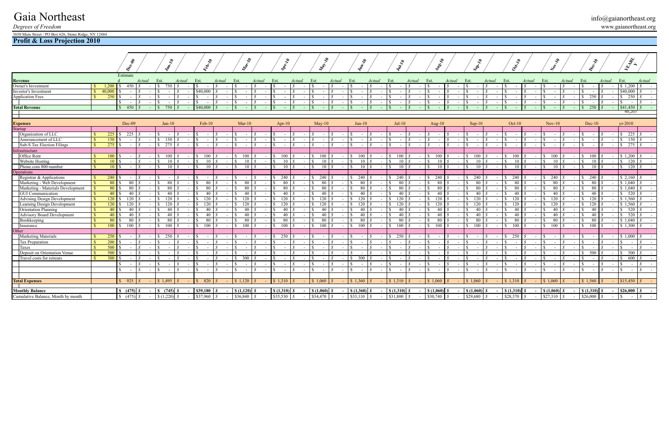# Gaia Northeast<br>
Degrees of Freedom<br>
www.gaianortheast.org *Degrees of Freedom* www.gaianortheast.org

3650 Main Street / PO Box 626, Stone Ridge, NY 12484

**Profit & Loss Projection 2010**

|                                                          |              |                 | $\mathcal{S}$             |        |                | $\mathcal{L}$                     |        | <b>PRISON</b>                   |                          |                                       |        |        | Write                                              |        |                      | Marita |               | $\mathcal{S}$ |        | $\frac{d}{dx}$ |                 |        | <b>Usel</b> |        | 81.10                                   |                | Octrip      |        |           | $\tilde{\mathcal{S}}$ |        |            |                | <b>ARALL</b>                    |                  |
|----------------------------------------------------------|--------------|-----------------|---------------------------|--------|----------------|-----------------------------------|--------|---------------------------------|--------------------------|---------------------------------------|--------|--------|----------------------------------------------------|--------|----------------------|--------|---------------|---------------|--------|----------------|-----------------|--------|-------------|--------|-----------------------------------------|----------------|-------------|--------|-----------|-----------------------|--------|------------|----------------|---------------------------------|------------------|
| Revenue                                                  |              |                 | Estimate                  | Actual |                | Est.                              | Actual | Est.                            | Actual                   | Est.                                  | Actual | Est.   |                                                    | Actual | Est.                 | Actual |               | Est.          | Actual | Est.           |                 | Actual | Est.        | Actual | Est.                                    | Actual         | Est.        | Actual | Est.      |                       | Actual | Est.       | Actual         | Est.                            | Actual           |
| Owner's Investment                                       |              | 1,200           | 450                       |        |                | 750   \$<br>-SS                   |        |                                 |                          |                                       |        |        |                                                    |        |                      |        |               |               |        |                |                 |        |             |        |                                         |                |             |        |           |                       |        |            |                | $$1,200$ $$$                    | $\sim 100$       |
| Investor's Investment                                    |              | 40,000          |                           |        |                |                                   |        | \$40,000                        |                          |                                       |        |        |                                                    |        |                      |        |               |               |        |                |                 |        |             |        |                                         |                |             |        |           |                       |        |            |                | \$40,000                        |                  |
| <b>Application Fees</b>                                  |              | 250             | $\sim$                    |        | $\sim$         |                                   |        |                                 |                          |                                       |        |        |                                                    |        |                      |        |               |               |        |                |                 |        |             |        |                                         |                |             |        |           |                       |        | 250        |                | $\frac{\text{S}}{\text{S}}$ 250 |                  |
|                                                          |              |                 | $\sim$                    |        | $\sim$         |                                   |        |                                 |                          |                                       |        |        |                                                    |        |                      |        |               |               |        |                |                 |        |             |        |                                         |                |             |        |           |                       |        |            |                | <sup>S</sup>                    |                  |
| <b>Total Revenue</b>                                     |              |                 | \$ 450                    |        | $\sim$ 10 $\,$ | $750 \text{ S}$<br>$\mathcal{S}$  |        | \$40,000                        |                          |                                       |        |        |                                                    |        |                      |        |               |               |        |                |                 |        |             |        |                                         |                |             |        |           |                       |        | 250        |                | \$41,450                        |                  |
| $\mathcal{L}$                                            |              |                 |                           |        |                |                                   |        |                                 |                          |                                       |        |        |                                                    |        |                      |        |               |               |        |                |                 |        |             |        |                                         |                |             |        |           |                       |        |            |                | 40,203                          |                  |
|                                                          |              |                 |                           |        |                |                                   |        |                                 |                          |                                       |        |        |                                                    |        |                      |        |               |               |        |                |                 |        |             |        |                                         |                |             |        |           |                       |        |            |                |                                 |                  |
| Expenses<br>Startup                                      |              |                 | Dec-09                    |        |                | $Jan-10$                          |        | $Feb-10$                        |                          | $Mar-10$                              |        |        | $Apr-10$                                           |        | $Mav-10$             |        |               | $Jun-10$      |        | $Jul-10$       |                 |        | Aug- $10$   |        | $Sep-10$                                |                | $Oct-10$    |        | $Nov-10$  |                       |        | $Dec-10$   |                | $vr-2010$                       |                  |
|                                                          |              |                 |                           |        |                |                                   |        |                                 |                          |                                       |        |        |                                                    |        |                      |        |               |               |        |                |                 |        |             |        |                                         |                |             |        |           |                       |        |            |                |                                 |                  |
| Organization of LLC                                      |              | 225<br>150      | 225                       |        |                | 150 $\frac{1}{8}$<br><sup>S</sup> |        |                                 |                          |                                       |        |        |                                                    |        |                      |        |               | $\sim$        |        |                |                 |        |             |        |                                         |                |             |        |           |                       |        |            |                | $\frac{1}{225}$<br>150          |                  |
| Announcement of LLC<br><b>Sub-S</b> Tax Election Filings |              | 275             |                           |        | $\sim$         | 275S<br>$\mathbf{S}$              |        |                                 |                          |                                       |        |        |                                                    |        |                      |        |               | $\sim$        |        | $\sim$         |                 |        | $\sim$      |        |                                         |                |             |        |           |                       |        |            |                | $\mathcal{S}$                   | $275$ $\sqrt{s}$ |
| Infrastructure                                           |              |                 |                           |        |                |                                   |        |                                 |                          |                                       |        |        |                                                    |        |                      |        |               |               |        |                |                 |        |             |        |                                         |                |             |        |           |                       |        |            |                |                                 |                  |
| <b>Office Rent</b>                                       |              | 100             |                           |        | $\sim$         | $100 \text{ S}$<br>-SS-           | $\sim$ | 100                             |                          |                                       |        |        | 100                                                |        | 100<br><sup>S</sup>  |        |               | 100           |        | 100            |                 |        | 100         |        | 100                                     |                | 100         |        | 100       |                       |        | 100        |                | \$1,200                         |                  |
| <b>Website Hosting</b>                                   |              | 10 <sup>1</sup> |                           |        |                |                                   |        | 10                              |                          | 10                                    |        |        | -10                                                |        |                      | 10     |               | 10            |        |                | 10 I            |        | 10          |        | 10 l                                    |                | 10          |        |           | 10                    |        | 10         |                | $\frac{120}{ }$                 |                  |
| Phone.com 800-number                                     |              | 10 S            |                           | S.     | $\sim$         | $10 \text{ J}$<br>-8              |        | 10 <sup>5</sup><br><sup>T</sup> |                          |                                       | 10S    | -S     | -10                                                |        | -S                   | 10 \$  |               | 10            |        |                | $10 \text{ s}$  |        | 10          |        | $\mathcal{S}$                           | $10 \text{ s}$ | 10 I<br>l S |        | l S       | 10 I                  |        | 10         |                | $\frac{120}{ }$                 |                  |
| Operations                                               |              |                 |                           |        |                |                                   |        |                                 |                          |                                       |        |        |                                                    |        |                      |        |               |               |        |                |                 |        |             |        |                                         |                |             |        |           |                       |        |            |                |                                 |                  |
| Registrar & Applications                                 |              | 240             |                           |        |                |                                   |        |                                 |                          |                                       |        |        | 240                                                |        | 240                  |        | $\sim$ $\sim$ | 240           | $\sim$ | 240            |                 |        | 240         | $\sim$ | 240<br>S.                               |                | 240<br>S.   |        | 240       |                       |        | 240        |                | \$2,160                         |                  |
| Marketing - Web Development                              |              | 80              | 80                        |        |                | 80                                |        |                                 |                          |                                       |        |        |                                                    |        | 80                   |        |               | 80            |        | 80             |                 |        | 80          |        | 80                                      |                | 80          |        |           | 80                    |        | 80         |                | \$1.040                         |                  |
| Marketing - Materials Development                        | $\mathbf{S}$ | 80 \$           | -80                       |        |                | 80 S                              |        | 80                              |                          | 80                                    |        |        | -80                                                |        |                      | 80     |               | 80            |        |                | 80              |        | 80          |        | 80                                      |                | 80<br>-8    |        |           | 80                    |        | 80         |                | \$1.040                         |                  |
| <b>GUI</b> Communication                                 |              | $40 \text{ s}$  | 40                        |        |                | $40 \text{ s}$                    |        | 40                              |                          | 40                                    |        |        | 40                                                 |        | 40                   |        |               | 40            |        |                | 40 <sup>1</sup> |        | 40          |        | 40                                      |                | 40          |        |           | 40                    |        | 40         |                | \$ 520                          |                  |
| <b>Advising Design Development</b>                       |              | 120             | 120                       |        |                | 120   8                           |        | 120                             |                          | 120                                   |        |        | 120                                                |        | 120                  |        |               | 120           |        | 120 l          |                 |        | 120         |        | 120 I                                   |                | 120         |        | 120       |                       |        | 120        |                | \$1,560                         |                  |
| Learning Design Development                              |              | 120             | 120                       |        |                | 120 L S                           |        | 120                             |                          | 120                                   |        |        | 120                                                |        | <sup>S</sup><br>120. |        |               | 120           |        | 120            |                 |        | 120         |        | 20                                      |                | 120         |        | 120       |                       |        |            |                | \$1.560                         |                  |
| <b>Orientation Planning</b>                              |              | $40 \text{ s}$  | 40                        |        |                | $40 \text{ s}$                    |        | 40.                             |                          | 40                                    |        |        | 40                                                 |        | 40                   |        |               | 40            |        |                | 40 <sup>1</sup> |        | 40          |        | 40 l                                    |                | 40          |        |           | 40                    |        | 40.        |                | $\frac{1}{2}$ 520               |                  |
| <b>Advisory Board Development</b>                        |              | 40              | 40                        |        |                | 40   \$                           |        | 40                              |                          | 40                                    |        |        |                                                    |        | 40                   |        |               | 40            |        |                | 40              |        | 40          |        | 40                                      |                | 40.         |        |           | 40                    |        |            |                | 520                             |                  |
| Bookkeeping                                              |              | 80 \$           | - 80                      |        | $\sim$         | 80 S                              |        | -80                             |                          | 80.                                   |        |        | -80                                                |        |                      | 80     |               | -80           |        |                | 80              |        | 80          |        | 80<br>-8                                |                | -80<br>∣S.  |        |           | 80                    |        | -80        |                | \$ 1.040                        |                  |
| Insurance                                                |              | 100             | 100<br>-SS                |        | $\sim$         | 100<br>-SS-                       |        | 100                             |                          |                                       |        |        | 100                                                |        | 100                  |        |               | 100           |        | 100            |                 |        | 100         |        | 100-                                    |                | 100         |        | 100       |                       |        |            |                | \$1.300                         |                  |
| Other<br><b>Marketing Materials</b>                      |              | 250             |                           |        |                | 250 L.S                           |        |                                 |                          |                                       |        |        | 250                                                |        |                      |        |               |               |        | 250            |                 |        |             |        |                                         |                | 250         |        |           |                       |        |            |                | \$1.000                         |                  |
| Tax Preparation                                          |              | <b>200</b>      |                           |        |                |                                   |        |                                 |                          |                                       |        |        |                                                    |        |                      |        |               |               |        |                |                 |        |             |        |                                         |                |             |        |           |                       |        |            |                |                                 |                  |
| Taxes                                                    |              | 500             |                           |        |                |                                   |        |                                 |                          |                                       |        |        |                                                    |        |                      |        |               |               |        |                |                 |        |             |        |                                         |                |             |        |           |                       |        |            |                |                                 |                  |
| Deposit on Orientation Venue                             |              | 500             |                           |        |                |                                   |        |                                 |                          |                                       |        |        |                                                    |        |                      |        |               |               |        |                |                 |        |             |        |                                         |                |             |        |           |                       |        |            |                | 500                             |                  |
| Travel costs for retreats                                |              | 300             |                           |        |                |                                   |        |                                 |                          | 300                                   |        |        |                                                    |        |                      |        |               | 300           |        |                |                 |        |             |        |                                         |                |             |        |           |                       |        |            |                | 600                             |                  |
|                                                          |              |                 | \$.<br>$\sim$             |        | $\sim$         |                                   |        |                                 |                          |                                       |        |        |                                                    |        |                      |        |               |               |        |                |                 |        |             |        |                                         |                |             |        |           |                       |        |            |                |                                 |                  |
|                                                          |              |                 | $\mathcal{S}$<br>- 11     | S      | $\sim$         |                                   |        |                                 |                          |                                       |        |        |                                                    |        |                      |        |               |               |        |                |                 |        |             |        |                                         |                |             |        |           |                       |        |            |                |                                 |                  |
|                                                          |              |                 |                           |        |                |                                   |        |                                 |                          |                                       |        |        |                                                    |        |                      |        |               |               |        |                |                 |        |             |        |                                         |                |             |        |           |                       |        |            |                |                                 |                  |
| <b>Total Expenses</b>                                    |              |                 | 925<br>$\mathbf{\hat{s}}$ |        |                | \$1.495                           |        | 820                             |                          | \$1.120                               |        | \$1310 |                                                    |        | \$1.060              |        |               | \$1.360       |        | \$1.310        |                 |        | \$1.060     |        | \$1.060                                 |                | \$1.31      |        | \$1.060   |                       |        | \$1.560    |                | \$15,450                        |                  |
|                                                          |              |                 |                           |        |                |                                   |        |                                 |                          |                                       |        |        |                                                    |        |                      |        |               |               |        |                |                 |        |             |        |                                         |                |             |        |           |                       |        |            |                |                                 |                  |
| <b>Monthly Balance</b>                                   |              |                 | $\{8, (475) \mid S\}$     |        |                |                                   |        | \$39,180                        |                          | $\left  \int_{S} (1.120) \right  1.5$ |        |        | $\left  \int_{0}^{2} (1,310) \right  \int_{0}^{2}$ |        | $S(1,060)$ <i>S</i>  |        |               |               |        | $$(1,310)$ $$$ |                 |        | S(1,060) S  |        | $\left  \int_{0}^{1} (1,060) \right  0$ |                | \$(1,310)   |        | \$(1,060) |                       |        | S(1,310) S | $\overline{a}$ | \$26,000S                       |                  |
| Cumulative Balance, Month by month                       |              |                 | $\frac{1}{2}$ (475) \$    |        |                | $-$ \$ (1,220) \$                 | $\sim$ | \$37.960                        | $\overline{s}$<br>$\sim$ | \$36,840                              | l S    |        | \$35,530                                           |        | \$34,470             |        |               | \$33,110      |        | \$31,800       |                 |        | \$30,740    | $\sim$ | \$29,680                                |                | \$28,370    |        | \$27,310  |                       |        | \$26,000   |                |                                 |                  |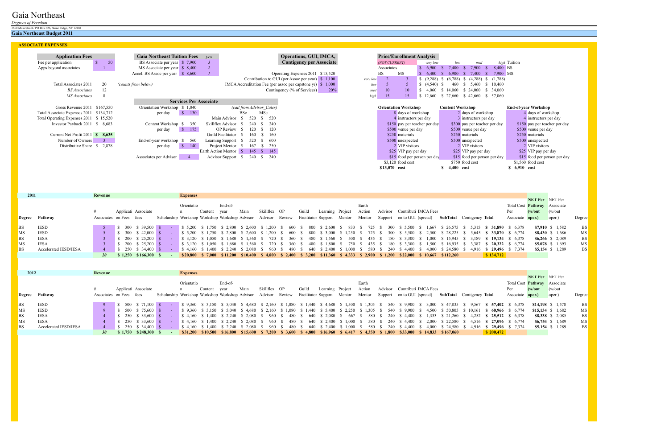# Gaia Northeast

*Degrees of Freedom*

3650 Main Street / PO Box 626, Stone Ridge, NY 12484 **Gaia Northeast Budget 2011**

| <b>ASSOCIATE EXPENSES</b>                        |                                    |                                                    |                                                   |          |                                  |                                           |                               |
|--------------------------------------------------|------------------------------------|----------------------------------------------------|---------------------------------------------------|----------|----------------------------------|-------------------------------------------|-------------------------------|
|                                                  |                                    |                                                    |                                                   |          |                                  |                                           |                               |
| <b>Application Fees</b>                          | <b>Gaia Northeast Tuition Fees</b> | $V\!Y\!S$                                          | <b>Operations, GUI, IMCA,</b>                     |          | <b>Price/Enrollment Analysis</b> |                                           |                               |
| 50<br>Fee per application                        | \$7,900<br>BS Associate per year   |                                                    | <b>Contigency per Associate</b>                   |          | (NOT CURRENT)<br>very low        | med<br>low                                | high Tuition                  |
| Apps beyond associates                           | MS Associate per year \$8,400      |                                                    |                                                   |          | 6,900<br>Associates              | 7,900<br>7.400<br>-8                      | 8,400 BS                      |
|                                                  | Accel. BS Assoc per year \$ 8,600  |                                                    | Operating Expenses 2011 \$15,520                  |          | MS<br><b>BS</b><br>6.400         | 7.400<br>6.900<br>$-$ S $-$               | 7,900 MS                      |
|                                                  |                                    |                                                    | Contribution to GUI (per Assoc per year) $$1,100$ | very low | (9,288)                          | (4,288)<br>(6.788)<br>(1,788)<br>S.<br>-8 |                               |
| Total Associates 2011<br>20                      | (counts from below)                | IMCA Accreditation Fee (per assoc per capstone yr) | \$1,000                                           | low      | $(4,540)$ \$                     | \$10,460<br>5.460<br>460                  |                               |
| 12<br><b>BS</b> Associates                       |                                    |                                                    | Contingency (% of Services)<br>20%                | med      | 10<br>10<br>4.060                | \$ 34,060<br>\$ 24,060<br>\$14.060        |                               |
| MS Associates                                    |                                    |                                                    |                                                   | high     | 15<br>15<br>\$12,660             | \$27,660<br>$$42,660$ $$57,060$           |                               |
|                                                  | <b>Services Per Associate</b>      |                                                    |                                                   |          |                                  |                                           |                               |
| Gross Revenue 2011 \$167,550                     | Orientation Workshop \$1,040       | (call from Advisor Calcs)                          |                                                   |          | <b>Orientation Workshop</b>      | <b>Content Workshop</b>                   | <b>End-of-year Workshop</b>   |
| Total Associate Expenses 2011 \$134,712          | 130<br>-SI<br>per day              | MSc<br><b>BSc</b>                                  |                                                   |          | 8 days of workshop               | 2 days of workshop                        | 4 days of workshop            |
| Total Operating Expenses 2011 \$15,520           |                                    | 520<br>Main Advisor<br>520                         |                                                   |          | 4 instructors per day            | 3 instructors per day                     | 4 instructors per day         |
| Investor Payback 2011 \$ 8,683                   | Content Workshop<br>350            | Skillflex Advisor<br>240<br>240                    |                                                   |          | \$150 pay per teacher per day    | \$300 pay per teacher per day             | \$150 pay per teacher per day |
|                                                  | 175<br>per day<br>- 8              | OP Review<br>120<br>120                            |                                                   |          | \$500 venue per day              | \$500 venue per day                       | \$500 venue per day           |
| Current Net Profit 2011<br>$\frac{\$}{\$}$ 8.635 |                                    | Guild Facilitator<br>160.<br>160                   |                                                   |          | \$250 materials                  | \$250 materials                           | \$250 materials               |
| Number of Owners                                 | End-of-year workshop<br>560        | 520<br>Learning Support<br>- 600<br>S.             |                                                   |          | \$500 unexpected                 | \$500 unexpected                          | \$500 unexpected              |
| 2,878<br>Distributive Share \$                   | 140<br>per day<br>- 85             | 250<br>Project Mentor<br>167<br>-S                 |                                                   |          | 2 VIP visitors                   | 2 VIP visitors                            | 2 VIP visitors                |
|                                                  |                                    | Earth Action Mentor \$<br>145<br>$\frac{145}{ }$   |                                                   |          | \$25 VIP pay per day             | \$25 VIP pay per day                      | \$25 VIP pay per day          |
|                                                  | Associates per Advisor             | 240<br><b>Advisor Support</b><br>$\frac{\$}{240}$  |                                                   |          | \$15 food per person per day     | \$15 food per person per day              | \$15 food per person per day  |
|                                                  |                                    |                                                    |                                                   |          | $$3,120$ food cost               | \$750 food cost                           | $$1,560$ food cost            |
|                                                  |                                    |                                                    |                                                   |          | \$13,070 cost                    | 4,400 cost                                | \$ 6,910 cost                 |

| 2011 |                       | Revenue                 |                                                                                                                                                                                                                                    |                                                               | <b>Expenses</b> |                       |          |                                        |                 |                        |       |       |                  |                            |        |               |                 |                              |                                                                                                                                 |                    |                             |                  |                                     |                   |           |
|------|-----------------------|-------------------------|------------------------------------------------------------------------------------------------------------------------------------------------------------------------------------------------------------------------------------|---------------------------------------------------------------|-----------------|-----------------------|----------|----------------------------------------|-----------------|------------------------|-------|-------|------------------|----------------------------|--------|---------------|-----------------|------------------------------|---------------------------------------------------------------------------------------------------------------------------------|--------------------|-----------------------------|------------------|-------------------------------------|-------------------|-----------|
|      |                       |                         |                                                                                                                                                                                                                                    |                                                               |                 |                       |          |                                        |                 |                        |       |       |                  |                            |        |               |                 |                              |                                                                                                                                 |                    |                             |                  | NET Per NET Per                     |                   |           |
|      |                       |                         |                                                                                                                                                                                                                                    |                                                               | Orientatio      |                       | End-of-  |                                        |                 |                        |       |       |                  |                            | Earth  |               |                 |                              |                                                                                                                                 |                    |                             |                  | Total Cost <b>Pathway</b> Associate |                   |           |
|      |                       |                         | Applicati Associate                                                                                                                                                                                                                |                                                               |                 | Content               | year     | Main                                   | Skillflex OP    |                        | Guild |       | Learning Project |                            | Action |               |                 | Advisor Contributi IMCA Fees |                                                                                                                                 |                    |                             | Per              | (w/out)                             | (w/out)           |           |
|      | Degree Pathway        | Associates on Fees fees |                                                                                                                                                                                                                                    | Scholarship Workshop Workshop Workshop Advisor Advisor Review |                 |                       |          |                                        |                 |                        |       |       |                  | Facilitator Support Mentor | Mentor |               |                 | Support on to GUI (spread)   | <b>SubTotal</b> Contigency <b>Total</b>                                                                                         |                    |                             | Associate oper.) |                                     | oper.)            | Degree    |
| BS   | <b>IESD</b>           |                         | $$300 \t$39,500 \t$$                                                                                                                                                                                                               |                                                               |                 | \$ 5,200 \$ 1.750     | \$ 2.800 | \$ 2.600                               | \$ 1.200        |                        | 600   | - 800 | \$ 2.600         | 833                        | 725 S  | 300           | \$ 5.500        | 1,667                        | \$26.575                                                                                                                        | \$ 5,315           | \$ 31,890                   | \$ 6.378         |                                     | \$7,910 \$ 1,582  | <b>BS</b> |
| МS   | <b>IESD</b>           |                         | $$300 \quad $42.000 \quad $$                                                                                                                                                                                                       |                                                               |                 | \$ 5.200 \$ 1.750     | \$ 2.800 | \$ 2.600                               | 1.200           |                        | -600  | - 800 | \$ 3.000         | 1.250                      |        | 725 \$<br>300 | \$ 5.500        | 2.500                        | \$28.225                                                                                                                        |                    | 5.645 \$ 33.870             | \$ 6.774         |                                     | \$8,430 \$ 1,686  | MS        |
| BS   | IESA                  |                         | $\frac{\$}{200}$ \$ 25.200 \movement \movement \movement \movement \movement \movement \movement \movement \movement \movement \movement \movement \movement \movement \movement \movement \movement \movement \movement \movement |                                                               |                 |                       |          | \$ 3.120 \$ 1.050 \$ 1.680 \$ 1.560 \$ | - 720           |                        | 360 S | - 480 |                  | \$1,560 \$500 \$           | 435 \$ |               |                 |                              | 180 \$ 3,300 \$ 1,000 \$ 15,945 \$ 3,189 <b>\$ 19,134</b> \$ 6,378                                                              |                    |                             |                  |                                     | $$6,266$ \$ 2,089 | <b>BS</b> |
| МS   | <b>IESA</b>           |                         | $\frac{\$}{200}$ \$ 25.200 \movement \movement \movement \movement \movement \movement \movement \movement \movement \movement \movement \movement \movement \movement \movement \movement \movement \movement \movement \movement |                                                               |                 | \$ 3.120 \$ 1.050     |          | \$ 1.680 \$ 1.560 \$                   | 720             | $\therefore$ \$ 360 \$ |       | 480   | \$1.800          | 750 \$<br>$\sim$ S $\sim$  | 435 \$ |               | 180 \$ 3,300 \$ | 1.500                        |                                                                                                                                 | $$16,935$ $$3,387$ | <b>S</b> 20.322 \$ 6.774    |                  |                                     | $$5,078$ \$ 1.693 | MS        |
| BS   | Accelerated IESD/IESA |                         | $$250 \t$34.400 \t$$                                                                                                                                                                                                               |                                                               |                 | $$4.160 \quad $1.400$ | \$ 2.240 |                                        | \$ 2.080 \$ 960 |                        | 480   | 640   | \$ 2.400         | \$ 1.000 \$                | - 580  |               | 240 \$4.400     | 4.000                        | \$24.580                                                                                                                        |                    | $$4.916$ \$ 29,496 \$ 7,374 |                  |                                     | $$5,154$ \$ 1,289 | <b>BS</b> |
|      |                       |                         | \$1,250 \$166,300 \$                                                                                                                                                                                                               |                                                               |                 |                       |          |                                        |                 |                        |       |       |                  |                            |        |               |                 |                              | \$20,800 \$ 7,000 \$11,200 \$10,400 \$ 4,800 \$ 2,400 \$ 3,200 \$11,360 \$ 4,333 \$ 2,900 \$ 1,200 \$22,000 \$ 10,667 \$112,260 |                    | \$134,712                   |                  |                                     |                   |           |

| 2012      |                       | Revenue                 |                      | <b>Expenses</b> |                                                               |         |      |                  |       |       |                                     |        |  |                                                                                                                                 |  |                                                                                                                                                          |                  |                              |                                                |           |
|-----------|-----------------------|-------------------------|----------------------|-----------------|---------------------------------------------------------------|---------|------|------------------|-------|-------|-------------------------------------|--------|--|---------------------------------------------------------------------------------------------------------------------------------|--|----------------------------------------------------------------------------------------------------------------------------------------------------------|------------------|------------------------------|------------------------------------------------|-----------|
|           |                       |                         |                      |                 |                                                               |         |      |                  |       |       |                                     |        |  |                                                                                                                                 |  |                                                                                                                                                          |                  | NET Per NET Per              |                                                |           |
|           |                       |                         |                      | Orientatio      |                                                               | End-of- |      |                  |       |       |                                     | Earth  |  |                                                                                                                                 |  |                                                                                                                                                          |                  | Total Cost Pathway Associate |                                                |           |
|           |                       |                         | Applicati Associate  |                 | Content                                                       | vear    | Main | Skillflex OP     |       | Guild | Learning Project                    | Action |  | Advisor Contributi IMCA Fees                                                                                                    |  |                                                                                                                                                          | Per              | (w/out                       | (w/out)                                        |           |
|           | Degree Pathway        | Associates on Fees fees |                      |                 | Scholarship Workshop Workshop Workshop Advisor Advisor Review |         |      |                  |       |       |                                     |        |  | Facilitator Support Mentor Mentor Support on to GUI (spread) SubTotal Contigency Total                                          |  |                                                                                                                                                          | Associate oper.) |                              | oper.)                                         | Degree    |
|           |                       |                         |                      |                 |                                                               |         |      |                  |       |       |                                     |        |  |                                                                                                                                 |  |                                                                                                                                                          |                  |                              |                                                |           |
| <b>BS</b> | <b>IESD</b>           |                         | S 500 S 71.100 S     |                 |                                                               |         |      |                  |       |       |                                     |        |  |                                                                                                                                 |  | \$ 9.360 \$ 3.150 \$ 5.040 \$ 4.680 \$ 2.160 \$ 1.080 \$ 1.440 \$ 4.680 \$ 1.500 \$ 1.305 \$ 540 \$ 9.900 \$ 3.000 \$ 47.835 \$ 9.567 \$ 57.402 \$ 6.378 |                  |                              | \$14,198 \$ 1.578                              | - BS      |
| MS        | <b>IESD</b>           |                         | 500 \$ 75,600 \$     |                 |                                                               |         |      |                  |       |       |                                     |        |  | \$ 9,360 \$ 3,150 \$ 5,040 \$ 4,680 \$ 2,160 \$ 1,080 \$ 1,440 \$ 5,400 \$ 2,250 \$ 1,305 \$ 540 \$ 9,900 \$ 4,500 \$ 50,805    |  | $$10,161$ <b>\$ 60,966</b> \$ 6,774                                                                                                                      |                  |                              | $$15.134 \quad $1.682$                         | MS        |
| <b>BS</b> | <b>IESA</b>           |                         | 250 \$ 33,600 \$     |                 | \$ 4.160 \$ 1.400 \$ 2.240 \$ 2.080 \$ 960 \$                 |         |      |                  |       |       | 480 \$ 640 \$ 2.080 \$ 667 \$       | - 580  |  |                                                                                                                                 |  | 240 \$ 4,400 \$ 1,333 \$ 21,260 \$ 4,252 \$ 25,512 \$ 6,378                                                                                              |                  |                              | \$8,338 \$ 2.085                               | <b>BS</b> |
| MS        | <b>IESA</b>           |                         | 250 \$ 33,600 \$     |                 | \$ 4.160 \$ 1.400 \$ 2.240 \$ 2.080 \$                        |         |      | $\degree$ 960 \$ |       |       | 480 \$ 640 \$ 2,400 \$ 1,000 \$ 580 |        |  | 240 \$ 4,400 \$ 2,000 \$ 22,580                                                                                                 |  | \$ 4.516 \$ 27,096                                                                                                                                       | \$ 6.774         |                              | $\textbf{S}6.754 \quad \textbf{S} \quad 1.689$ | MS        |
| <b>BS</b> | Accelerated IESD/IESA |                         | 250 \$ 34.400 \$     |                 | \$ 4.160 \$ 1.400 \$ 2.240 \$ 2.080 \$ 960 \$                 |         |      |                  | 480 S | - 640 | \$ 2.400 \$ 1.000                   | 580    |  |                                                                                                                                 |  | 240 \$ 4,400 \$ 4,000 \$ 24,580 \$ 4,916 <b>\$ 29,496</b> \$ 7,374                                                                                       |                  |                              | $$5,154$ \$ 1,289                              | <b>BS</b> |
|           |                       | <b>30</b>               | \$1,750 \$248,300 \$ |                 |                                                               |         |      |                  |       |       |                                     |        |  | \$31,200 \$10,500 \$16,800 \$15,600 \$ 7,200 \$ 3,600 \$ 4,800 \$16,960 \$ 6,417 \$ 4,350 \$ 1,800 \$33,000 \$ 14,833 \$167,060 |  | \$200.472                                                                                                                                                |                  |                              |                                                |           |